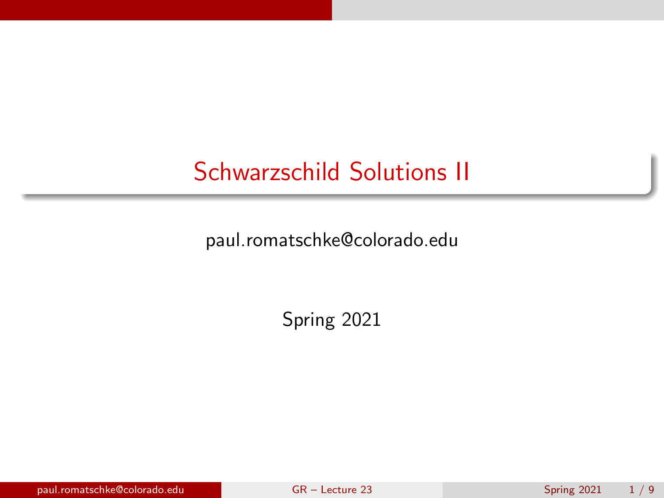# <span id="page-0-0"></span>Schwarzschild Solutions II

paul.romatschke@colorado.edu

Spring 2021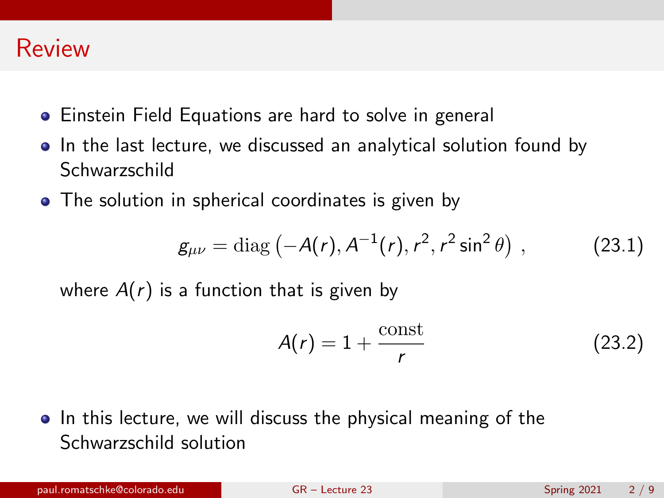

- **•** Einstein Field Equations are hard to solve in general
- In the last lecture, we discussed an analytical solution found by Schwarzschild
- The solution in spherical coordinates is given by

$$
g_{\mu\nu} = \text{diag}\left(-A(r), A^{-1}(r), r^2, r^2 \sin^2 \theta\right), \tag{23.1}
$$

where  $A(r)$  is a function that is given by

$$
A(r) = 1 + \frac{\text{const}}{r}
$$
 (23.2)

**•** In this lecture, we will discuss the physical meaning of the Schwarzschild solution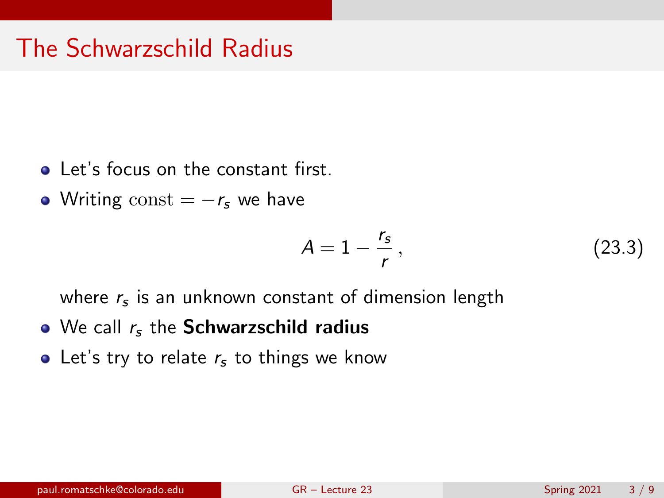- Let's focus on the constant first.
- Writing const  $= -r_s$  we have

$$
A = 1 - \frac{r_s}{r},\tag{23.3}
$$

where  $r_{\mathsf{s}}$  is an unknown constant of dimension length

- $\bullet$  We call  $r_s$  the Schwarzschild radius
- Let's try to relate  $r<sub>s</sub>$  to things we know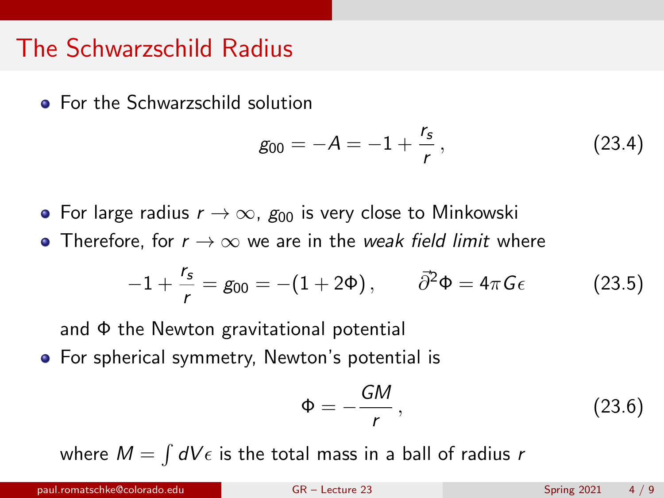### The Schwarzschild Radius

**• For the Schwarzschild solution** 

$$
g_{00} = -A = -1 + \frac{r_s}{r}, \qquad (23.4)
$$

- For large radius  $r \to \infty$ ,  $g_{00}$  is very close to Minkowski
- Therefore, for  $r \to \infty$  we are in the *weak field limit* where

$$
-1 + \frac{r_s}{r} = g_{00} = -(1 + 2\Phi), \qquad \bar{\partial}^2 \Phi = 4\pi G \epsilon \qquad (23.5)
$$

and Φ the Newton gravitational potential

**•** For spherical symmetry, Newton's potential is

$$
\Phi = -\frac{GM}{r},\qquad(23.6)
$$

where  $M = \int dV \epsilon$  is the total mass in a ball of radius  $r$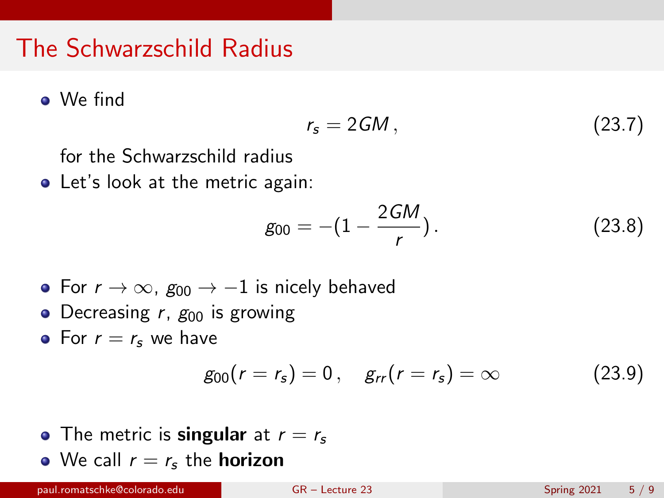### The Schwarzschild Radius

We find

$$
r_s = 2GM, \qquad (23.7)
$$

for the Schwarzschild radius

• Let's look at the metric again:

$$
g_{00}=-(1-\frac{2GM}{r}).
$$
 (23.8)

- For  $r \to \infty$ ,  $g_{00} \to -1$  is nicely behaved
- Decreasing  $r$ ,  $g_{00}$  is growing
- For  $r = r_s$  we have

$$
g_{00}(r = r_s) = 0, \quad g_{rr}(r = r_s) = \infty \tag{23.9}
$$

• The metric is **singular** at  $r = r_s$ • We call  $r = r_s$  the **horizon**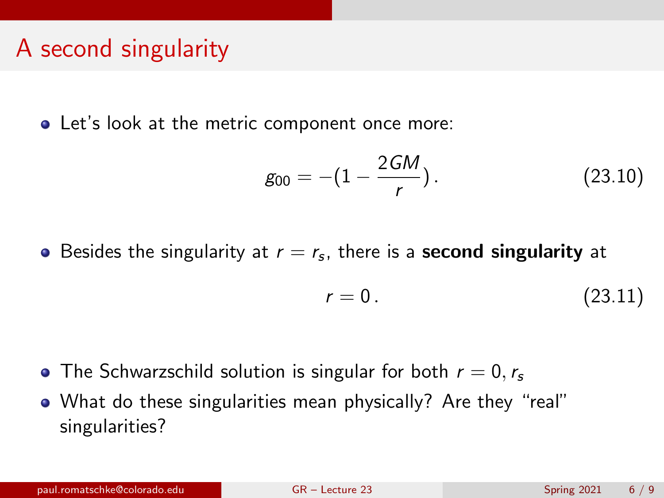### A second singularity

**•** Let's look at the metric component once more:

$$
g_{00}=-(1-\frac{2GM}{r}).
$$
 (23.10)

Besides the singularity at  $r=r_s$ , there is a **second singularity** at

$$
r = 0. \tag{23.11}
$$

- The Schwarzschild solution is singular for both  $r = 0, r_s$
- What do these singularities mean physically? Are they "real" singularities?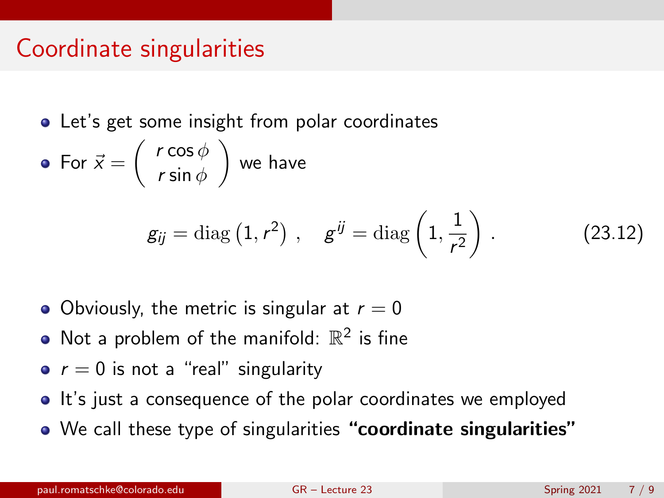#### Coordinate singularities

• Let's get some insight from polar coordinates

For  $\vec{x} = \begin{pmatrix} r \cos \phi \\ \sin \phi \end{pmatrix}$ r sin  $\phi$  $\big)$  we have

$$
g_{ij} = \text{diag}(1, r^2), \quad g^{ij} = \text{diag}(1, \frac{1}{r^2}).
$$
 (23.12)

- Obviously, the metric is singular at  $r = 0$
- Not a problem of the manifold:  $\mathbb{R}^2$  is fine
- $\bullet$   $r = 0$  is not a "real" singularity
- It's just a consequence of the polar coordinates we employed
- We call these type of singularities "coordinate singularities"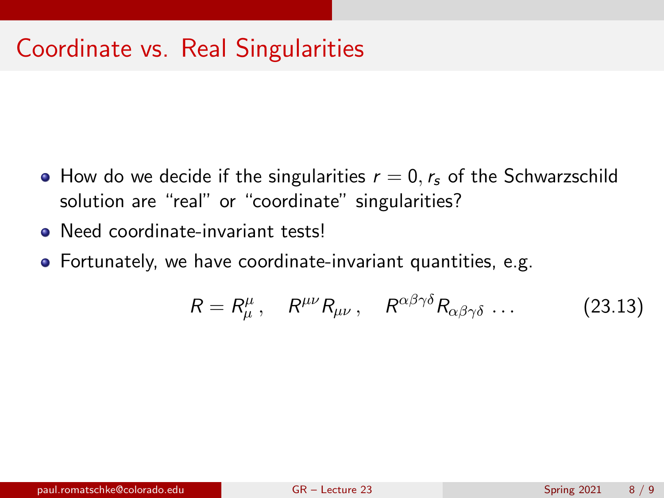- How do we decide if the singularities  $r = 0, r_s$  of the Schwarzschild solution are "real" or "coordinate" singularities?
- Need coordinate-invariant tests!
- Fortunately, we have coordinate-invariant quantities, e.g.

$$
R = R^{\mu}_{\mu}, \quad R^{\mu\nu} R_{\mu\nu}, \quad R^{\alpha\beta\gamma\delta} R_{\alpha\beta\gamma\delta} \dots \tag{23.13}
$$